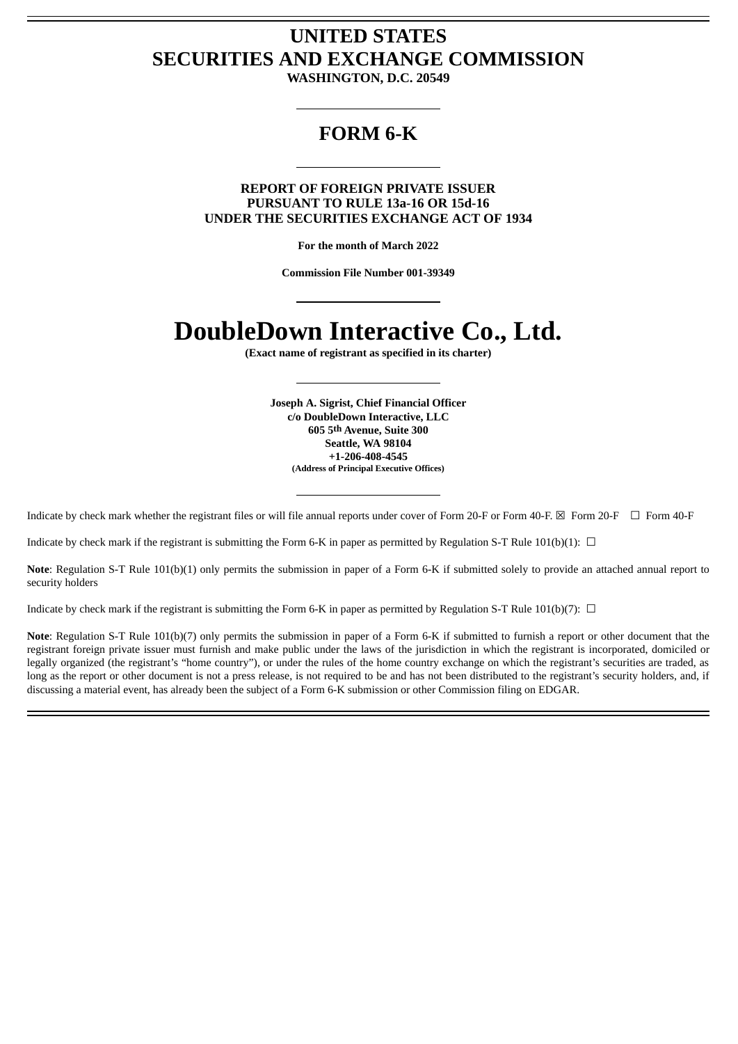## **UNITED STATES SECURITIES AND EXCHANGE COMMISSION**

**WASHINGTON, D.C. 20549**

### **FORM 6-K**

#### **REPORT OF FOREIGN PRIVATE ISSUER PURSUANT TO RULE 13a-16 OR 15d-16 UNDER THE SECURITIES EXCHANGE ACT OF 1934**

**For the month of March 2022**

**Commission File Number 001-39349**

# **DoubleDown Interactive Co., Ltd.**

**(Exact name of registrant as specified in its charter)**

**Joseph A. Sigrist, Chief Financial Officer c/o DoubleDown Interactive, LLC 605 5th Avenue, Suite 300 Seattle, WA 98104 +1-206-408-4545 (Address of Principal Executive Offices)**

Indicate by check mark whether the registrant files or will file annual reports under cover of Form 20-F or Form 40-F. ⊠ Form 20-F □ Form 40-F

Indicate by check mark if the registrant is submitting the Form 6-K in paper as permitted by Regulation S-T Rule 101(b)(1):  $\Box$ 

**Note**: Regulation S-T Rule 101(b)(1) only permits the submission in paper of a Form 6-K if submitted solely to provide an attached annual report to security holders

Indicate by check mark if the registrant is submitting the Form 6-K in paper as permitted by Regulation S-T Rule 101(b)(7):  $\Box$ 

**Note**: Regulation S-T Rule 101(b)(7) only permits the submission in paper of a Form 6-K if submitted to furnish a report or other document that the registrant foreign private issuer must furnish and make public under the laws of the jurisdiction in which the registrant is incorporated, domiciled or legally organized (the registrant's "home country"), or under the rules of the home country exchange on which the registrant's securities are traded, as long as the report or other document is not a press release, is not required to be and has not been distributed to the registrant's security holders, and, if discussing a material event, has already been the subject of a Form 6-K submission or other Commission filing on EDGAR.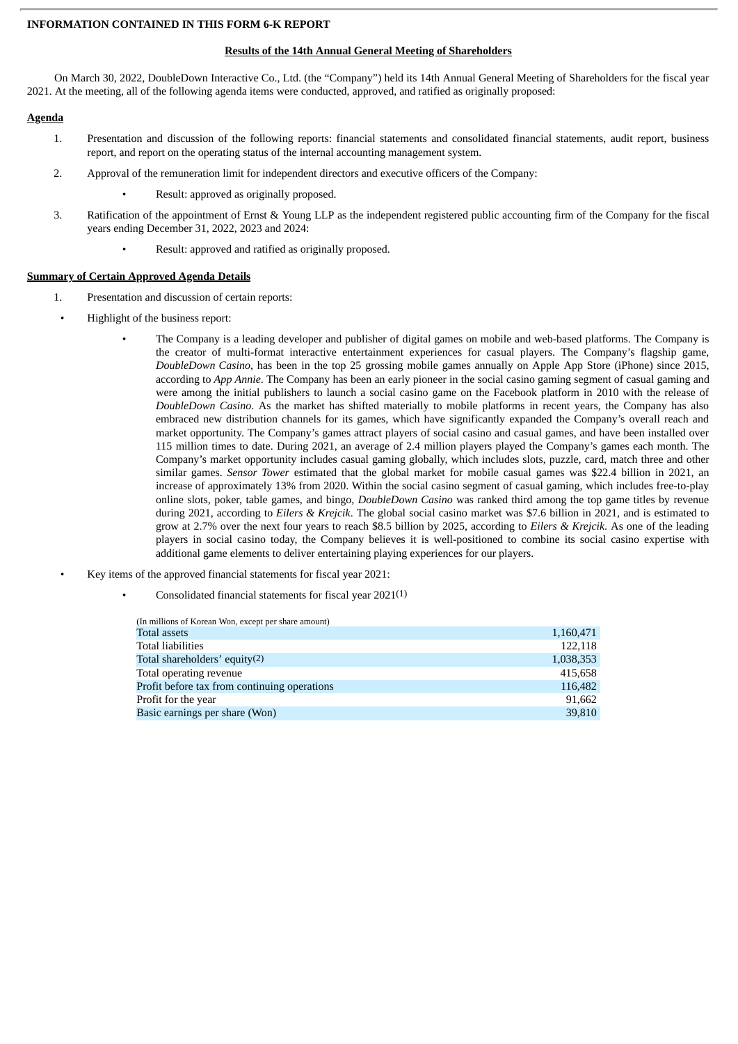#### **INFORMATION CONTAINED IN THIS FORM 6-K REPORT**

#### **Results of the 14th Annual General Meeting of Shareholders**

On March 30, 2022, DoubleDown Interactive Co., Ltd. (the "Company") held its 14th Annual General Meeting of Shareholders for the fiscal year 2021. At the meeting, all of the following agenda items were conducted, approved, and ratified as originally proposed:

#### **Agenda**

- 1. Presentation and discussion of the following reports: financial statements and consolidated financial statements, audit report, business report, and report on the operating status of the internal accounting management system.
- 2. Approval of the remuneration limit for independent directors and executive officers of the Company:
	- Result: approved as originally proposed.
- 3. Ratification of the appointment of Ernst & Young LLP as the independent registered public accounting firm of the Company for the fiscal years ending December 31, 2022, 2023 and 2024:
	- Result: approved and ratified as originally proposed.

#### **Summary of Certain Approved Agenda Details**

- 1. Presentation and discussion of certain reports:
	- Highlight of the business report:
		- The Company is a leading developer and publisher of digital games on mobile and web-based platforms. The Company is the creator of multi-format interactive entertainment experiences for casual players. The Company's flagship game, *DoubleDown Casino*, has been in the top 25 grossing mobile games annually on Apple App Store (iPhone) since 2015, according to *App Annie*. The Company has been an early pioneer in the social casino gaming segment of casual gaming and were among the initial publishers to launch a social casino game on the Facebook platform in 2010 with the release of *DoubleDown Casino*. As the market has shifted materially to mobile platforms in recent years, the Company has also embraced new distribution channels for its games, which have significantly expanded the Company's overall reach and market opportunity. The Company's games attract players of social casino and casual games, and have been installed over 115 million times to date. During 2021, an average of 2.4 million players played the Company's games each month. The Company's market opportunity includes casual gaming globally, which includes slots, puzzle, card, match three and other similar games. *Sensor Tower* estimated that the global market for mobile casual games was \$22.4 billion in 2021, an increase of approximately 13% from 2020. Within the social casino segment of casual gaming, which includes free-to-play online slots, poker, table games, and bingo, *DoubleDown Casino* was ranked third among the top game titles by revenue during 2021, according to *Eilers & Krejcik*. The global social casino market was \$7.6 billion in 2021, and is estimated to grow at 2.7% over the next four years to reach \$8.5 billion by 2025, according to *Eilers & Krejcik*. As one of the leading players in social casino today, the Company believes it is well-positioned to combine its social casino expertise with additional game elements to deliver entertaining playing experiences for our players.
	- Key items of the approved financial statements for fiscal year 2021:
		- Consolidated financial statements for fiscal year 2021(1)

| (In millions of Korean Won, except per share amount) |           |
|------------------------------------------------------|-----------|
| Total assets                                         | 1,160,471 |
| Total liabilities                                    | 122,118   |
| Total shareholders' equity $(2)$                     | 1,038,353 |
| Total operating revenue                              | 415.658   |
| Profit before tax from continuing operations         | 116,482   |
| Profit for the year                                  | 91,662    |
| Basic earnings per share (Won)                       | 39,810    |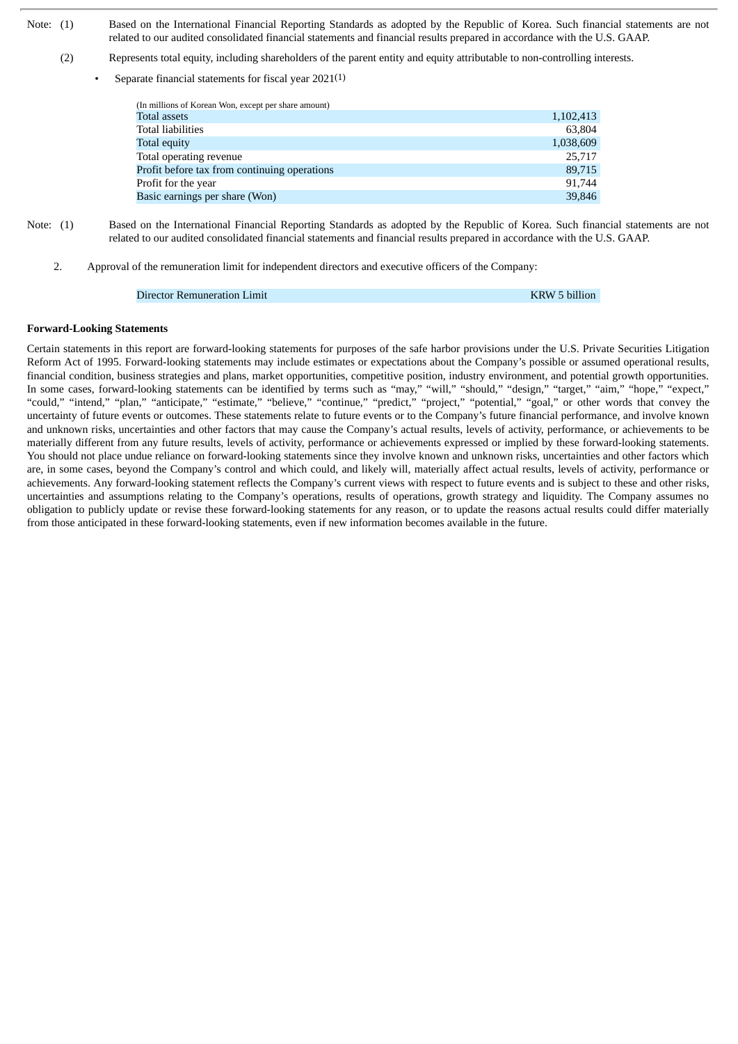- Note: (1) Based on the International Financial Reporting Standards as adopted by the Republic of Korea. Such financial statements are not related to our audited consolidated financial statements and financial results prepared in accordance with the U.S. GAAP.
	- (2) Represents total equity, including shareholders of the parent entity and equity attributable to non-controlling interests.
		- Separate financial statements for fiscal year 2021(1)

| (In millions of Korean Won, except per share amount) |           |
|------------------------------------------------------|-----------|
| Total assets                                         | 1,102,413 |
| Total liabilities                                    | 63,804    |
| Total equity                                         | 1,038,609 |
| Total operating revenue                              | 25,717    |
| Profit before tax from continuing operations         | 89,715    |
| Profit for the year                                  | 91,744    |
| Basic earnings per share (Won)                       | 39,846    |

- Note: (1) Based on the International Financial Reporting Standards as adopted by the Republic of Korea. Such financial statements are not related to our audited consolidated financial statements and financial results prepared in accordance with the U.S. GAAP.
	- 2. Approval of the remuneration limit for independent directors and executive officers of the Company:

#### **Director Remuneration Limit** KRW 5 billion

#### **Forward-Looking Statements**

Certain statements in this report are forward-looking statements for purposes of the safe harbor provisions under the U.S. Private Securities Litigation Reform Act of 1995. Forward-looking statements may include estimates or expectations about the Company's possible or assumed operational results, financial condition, business strategies and plans, market opportunities, competitive position, industry environment, and potential growth opportunities. In some cases, forward-looking statements can be identified by terms such as "may," "will," "should," "design," "target," "aim," "hope," "expect," "could," "intend," "plan," "anticipate," "estimate," "believe," "continue," "predict," "project," "potential," "goal," or other words that convey the uncertainty of future events or outcomes. These statements relate to future events or to the Company's future financial performance, and involve known and unknown risks, uncertainties and other factors that may cause the Company's actual results, levels of activity, performance, or achievements to be materially different from any future results, levels of activity, performance or achievements expressed or implied by these forward-looking statements. You should not place undue reliance on forward-looking statements since they involve known and unknown risks, uncertainties and other factors which are, in some cases, beyond the Company's control and which could, and likely will, materially affect actual results, levels of activity, performance or achievements. Any forward-looking statement reflects the Company's current views with respect to future events and is subject to these and other risks, uncertainties and assumptions relating to the Company's operations, results of operations, growth strategy and liquidity. The Company assumes no obligation to publicly update or revise these forward-looking statements for any reason, or to update the reasons actual results could differ materially from those anticipated in these forward-looking statements, even if new information becomes available in the future.